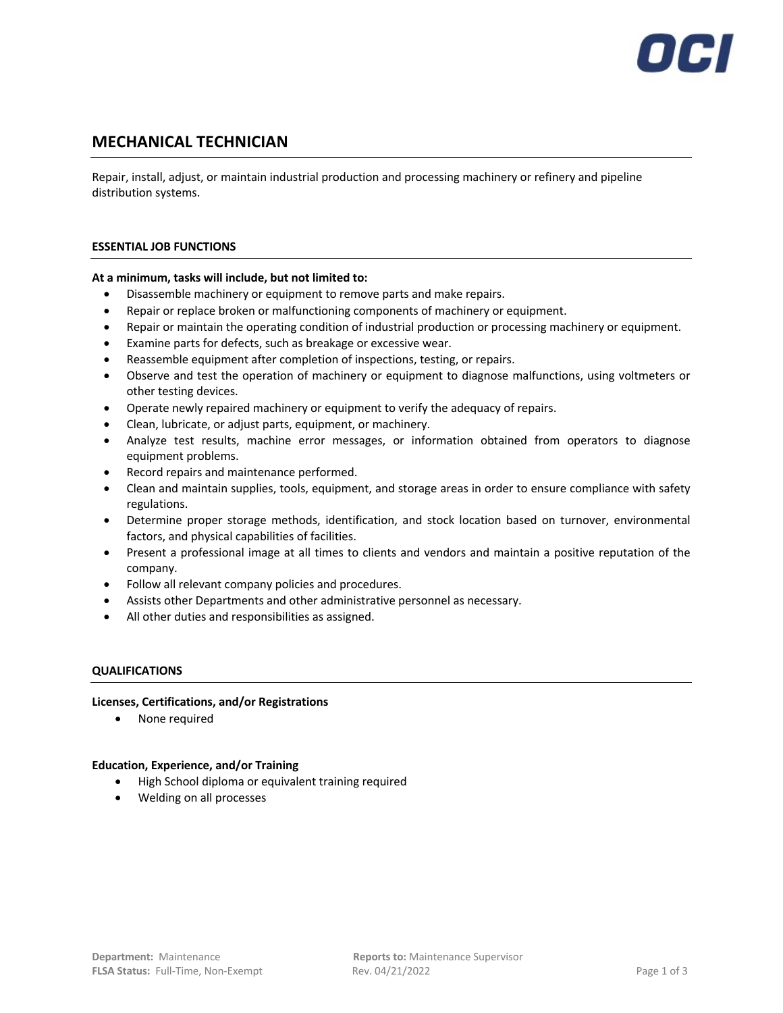

# **MECHANICAL TECHNICIAN**

Repair, install, adjust, or maintain industrial production and processing machinery or refinery and pipeline distribution systems.

## **ESSENTIAL JOB FUNCTIONS**

## **At a minimum, tasks will include, but not limited to:**

- Disassemble machinery or equipment to remove parts and make repairs.
- Repair or replace broken or malfunctioning components of machinery or equipment.
- Repair or maintain the operating condition of industrial production or processing machinery or equipment.
- Examine parts for defects, such as breakage or excessive wear.
- Reassemble equipment after completion of inspections, testing, or repairs.
- Observe and test the operation of machinery or equipment to diagnose malfunctions, using voltmeters or other testing devices.
- Operate newly repaired machinery or equipment to verify the adequacy of repairs.
- Clean, lubricate, or adjust parts, equipment, or machinery.
- Analyze test results, machine error messages, or information obtained from operators to diagnose equipment problems.
- Record repairs and maintenance performed.
- Clean and maintain supplies, tools, equipment, and storage areas in order to ensure compliance with safety regulations.
- Determine proper storage methods, identification, and stock location based on turnover, environmental factors, and physical capabilities of facilities.
- Present a professional image at all times to clients and vendors and maintain a positive reputation of the company.
- Follow all relevant company policies and procedures.
- Assists other Departments and other administrative personnel as necessary.
- All other duties and responsibilities as assigned.

## **QUALIFICATIONS**

## **Licenses, Certifications, and/or Registrations**

• None required

## **Education, Experience, and/or Training**

- High School diploma or equivalent training required
- Welding on all processes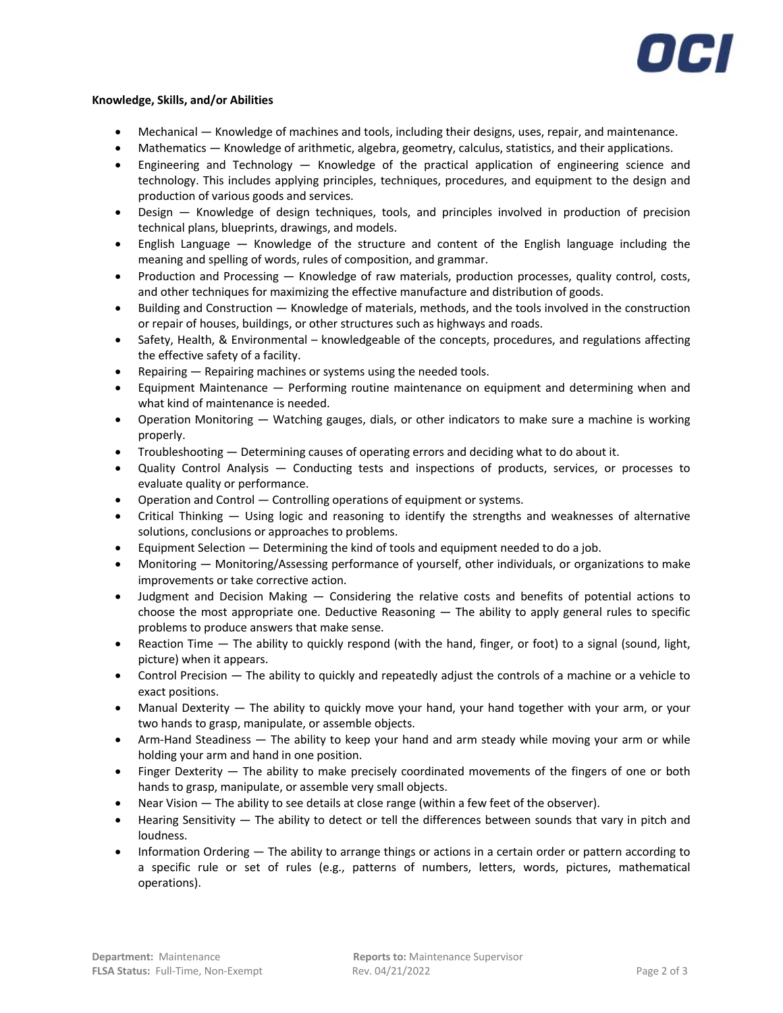

## **Knowledge, Skills, and/or Abilities**

- Mechanical Knowledge of machines and tools, including their designs, uses, repair, and maintenance.
- Mathematics Knowledge of arithmetic, algebra, geometry, calculus, statistics, and their applications.
- Engineering and Technology Knowledge of the practical application of engineering science and technology. This includes applying principles, techniques, procedures, and equipment to the design and production of various goods and services.
- Design Knowledge of design techniques, tools, and principles involved in production of precision technical plans, blueprints, drawings, and models.
- English Language Knowledge of the structure and content of the English language including the meaning and spelling of words, rules of composition, and grammar.
- Production and Processing Knowledge of raw materials, production processes, quality control, costs, and other techniques for maximizing the effective manufacture and distribution of goods.
- Building and Construction Knowledge of materials, methods, and the tools involved in the construction or repair of houses, buildings, or other structures such as highways and roads.
- Safety, Health, & Environmental knowledgeable of the concepts, procedures, and regulations affecting the effective safety of a facility.
- Repairing Repairing machines or systems using the needed tools.
- Equipment Maintenance Performing routine maintenance on equipment and determining when and what kind of maintenance is needed.
- Operation Monitoring Watching gauges, dials, or other indicators to make sure a machine is working properly.
- Troubleshooting Determining causes of operating errors and deciding what to do about it.
- Quality Control Analysis Conducting tests and inspections of products, services, or processes to evaluate quality or performance.
- Operation and Control Controlling operations of equipment or systems.
- Critical Thinking Using logic and reasoning to identify the strengths and weaknesses of alternative solutions, conclusions or approaches to problems.
- Equipment Selection Determining the kind of tools and equipment needed to do a job.
- Monitoring Monitoring/Assessing performance of yourself, other individuals, or organizations to make improvements or take corrective action.
- Judgment and Decision Making Considering the relative costs and benefits of potential actions to choose the most appropriate one. Deductive Reasoning — The ability to apply general rules to specific problems to produce answers that make sense.
- Reaction Time The ability to quickly respond (with the hand, finger, or foot) to a signal (sound, light, picture) when it appears.
- Control Precision The ability to quickly and repeatedly adjust the controls of a machine or a vehicle to exact positions.
- Manual Dexterity The ability to quickly move your hand, your hand together with your arm, or your two hands to grasp, manipulate, or assemble objects.
- Arm-Hand Steadiness The ability to keep your hand and arm steady while moving your arm or while holding your arm and hand in one position.
- Finger Dexterity The ability to make precisely coordinated movements of the fingers of one or both hands to grasp, manipulate, or assemble very small objects.
- Near Vision The ability to see details at close range (within a few feet of the observer).
- Hearing Sensitivity The ability to detect or tell the differences between sounds that vary in pitch and loudness.
- Information Ordering The ability to arrange things or actions in a certain order or pattern according to a specific rule or set of rules (e.g., patterns of numbers, letters, words, pictures, mathematical operations).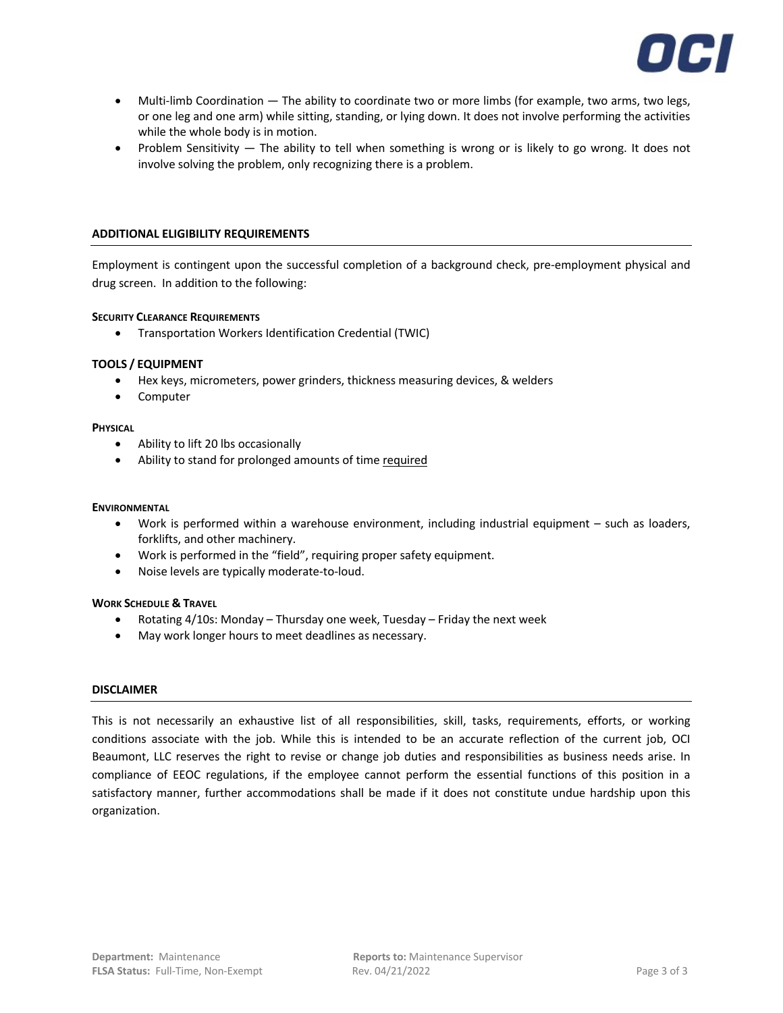

- Multi-limb Coordination The ability to coordinate two or more limbs (for example, two arms, two legs, or one leg and one arm) while sitting, standing, or lying down. It does not involve performing the activities while the whole body is in motion.
- Problem Sensitivity The ability to tell when something is wrong or is likely to go wrong. It does not involve solving the problem, only recognizing there is a problem.

## **ADDITIONAL ELIGIBILITY REQUIREMENTS**

Employment is contingent upon the successful completion of a background check, pre-employment physical and drug screen. In addition to the following:

#### **SECURITY CLEARANCE REQUIREMENTS**

• Transportation Workers Identification Credential (TWIC)

## **TOOLS / EQUIPMENT**

- Hex keys, micrometers, power grinders, thickness measuring devices, & welders
- Computer

#### **PHYSICAL**

- Ability to lift 20 lbs occasionally
- Ability to stand for prolonged amounts of time required

#### **ENVIRONMENTAL**

- Work is performed within a warehouse environment, including industrial equipment such as loaders, forklifts, and other machinery.
- Work is performed in the "field", requiring proper safety equipment.
- Noise levels are typically moderate-to-loud.

## **WORK SCHEDULE & TRAVEL**

- Rotating 4/10s: Monday Thursday one week, Tuesday Friday the next week
- May work longer hours to meet deadlines as necessary.

## **DISCLAIMER**

This is not necessarily an exhaustive list of all responsibilities, skill, tasks, requirements, efforts, or working conditions associate with the job. While this is intended to be an accurate reflection of the current job, OCI Beaumont, LLC reserves the right to revise or change job duties and responsibilities as business needs arise. In compliance of EEOC regulations, if the employee cannot perform the essential functions of this position in a satisfactory manner, further accommodations shall be made if it does not constitute undue hardship upon this organization.